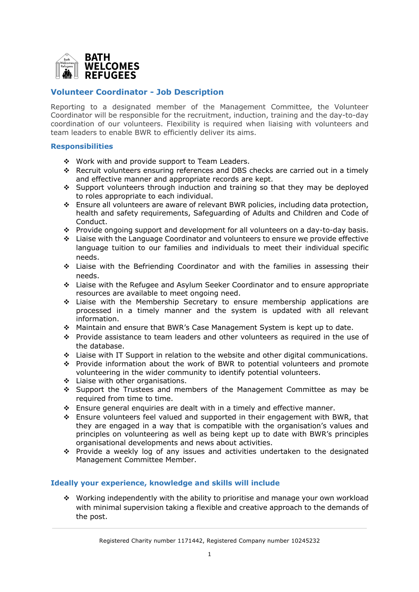

## **Volunteer Coordinator - Job Description**

Reporting to a designated member of the Management Committee, the Volunteer Coordinator will be responsible for the recruitment, induction, training and the day-to-day coordination of our volunteers. Flexibility is required when liaising with volunteers and team leaders to enable BWR to efficiently deliver its aims.

## **Responsibilities**

- $\div$  Work with and provide support to Team Leaders.
- v Recruit volunteers ensuring references and DBS checks are carried out in a timely and effective manner and appropriate records are kept.
- $\div$  Support volunteers through induction and training so that they may be deployed to roles appropriate to each individual.
- $\cdot$  Ensure all volunteers are aware of relevant BWR policies, including data protection, health and safety requirements, Safeguarding of Adults and Children and Code of Conduct.
- \* Provide ongoing support and development for all volunteers on a day-to-day basis.
- $\div$  Liaise with the Language Coordinator and volunteers to ensure we provide effective language tuition to our families and individuals to meet their individual specific needs.
- \* Liaise with the Befriending Coordinator and with the families in assessing their needs.
- v Liaise with the Refugee and Asylum Seeker Coordinator and to ensure appropriate resources are available to meet ongoing need.
- \* Liaise with the Membership Secretary to ensure membership applications are processed in a timely manner and the system is updated with all relevant information.
- \* Maintain and ensure that BWR's Case Management System is kept up to date.
- \* Provide assistance to team leaders and other volunteers as required in the use of the database.
- \* Liaise with IT Support in relation to the website and other digital communications.
- \* Provide information about the work of BWR to potential volunteers and promote volunteering in the wider community to identify potential volunteers.
- $\div$  Liaise with other organisations.
- $\div$  Support the Trustees and members of the Management Committee as may be required from time to time.
- $\div$  Ensure general enquiries are dealt with in a timely and effective manner.
- $\div$  Ensure volunteers feel valued and supported in their engagement with BWR, that they are engaged in a way that is compatible with the organisation's values and principles on volunteering as well as being kept up to date with BWR's principles organisational developments and news about activities.
- v Provide a weekly log of any issues and activities undertaken to the designated Management Committee Member.

## **Ideally your experience, knowledge and skills will include**

\* Working independently with the ability to prioritise and manage your own workload with minimal supervision taking a flexible and creative approach to the demands of the post.